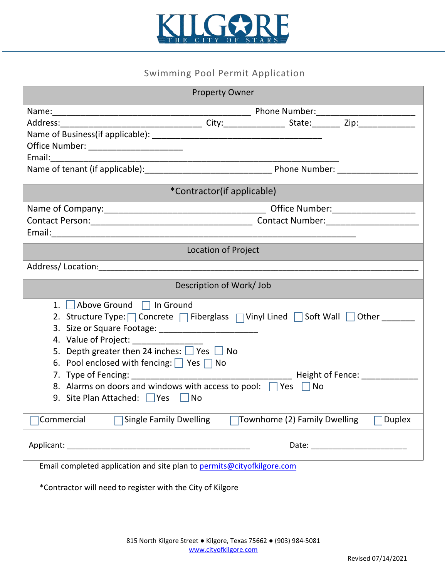

## Swimming Pool Permit Application

| <b>Property Owner</b>                                                                                                                                                                                                          |                              |               |
|--------------------------------------------------------------------------------------------------------------------------------------------------------------------------------------------------------------------------------|------------------------------|---------------|
|                                                                                                                                                                                                                                |                              |               |
|                                                                                                                                                                                                                                |                              |               |
|                                                                                                                                                                                                                                |                              |               |
| Office Number: _________________________                                                                                                                                                                                       |                              |               |
|                                                                                                                                                                                                                                |                              |               |
|                                                                                                                                                                                                                                |                              |               |
| *Contractor(if applicable)                                                                                                                                                                                                     |                              |               |
|                                                                                                                                                                                                                                |                              |               |
|                                                                                                                                                                                                                                |                              |               |
|                                                                                                                                                                                                                                |                              |               |
| Location of Project                                                                                                                                                                                                            |                              |               |
|                                                                                                                                                                                                                                |                              |               |
|                                                                                                                                                                                                                                |                              |               |
| Description of Work/ Job                                                                                                                                                                                                       |                              |               |
| 1. Above Ground 1 In Ground                                                                                                                                                                                                    |                              |               |
| 2. Structure Type: Concrete   Fiberglass   Vinyl Lined   Soft Wall   Other _____                                                                                                                                               |                              |               |
|                                                                                                                                                                                                                                |                              |               |
| 4. Value of Project: _______________                                                                                                                                                                                           |                              |               |
| 5. Depth greater then 24 inches: $\Box$ Yes $\Box$ No                                                                                                                                                                          |                              |               |
| 6. Pool enclosed with fencing: $\Box$ Yes $\Box$ No                                                                                                                                                                            |                              |               |
|                                                                                                                                                                                                                                |                              |               |
| 8. Alarms on doors and windows with access to pool: Yes UNo                                                                                                                                                                    |                              |               |
| 9. Site Plan Attached: Ves   No                                                                                                                                                                                                |                              |               |
|                                                                                                                                                                                                                                |                              |               |
| <b>Single Family Dwelling</b><br>Commercial                                                                                                                                                                                    | Townhome (2) Family Dwelling | <b>Duplex</b> |
| Applicant: Applicant and Applicant and Applicant and Applicant and Applicant and Applicant and Applicant and Applicant and Applicant and Applicant and Applicant and Applicant and Applicant and Applicant and Applicant and A |                              |               |
| Email completed application and site plan to permits@cityofkilgore.com                                                                                                                                                         |                              |               |

\*Contractor will need to register with the City of Kilgore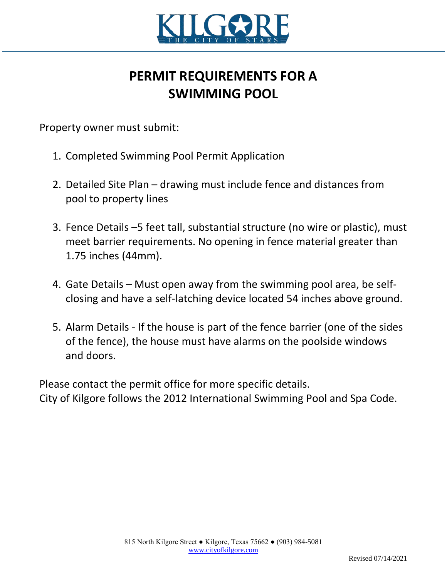

## **PERMIT REQUIREMENTS FOR A SWIMMING POOL**

Property owner must submit:

- 1. Completed Swimming Pool Permit Application
- 2. Detailed Site Plan drawing must include fence and distances from pool to property lines
- 3. Fence Details –5 feet tall, substantial structure (no wire or plastic), must meet barrier requirements. No opening in fence material greater than 1.75 inches (44mm).
- 4. Gate Details Must open away from the swimming pool area, be selfclosing and have a self-latching device located 54 inches above ground.
- 5. Alarm Details If the house is part of the fence barrier (one of the sides of the fence), the house must have alarms on the poolside windows and doors.

Please contact the permit office for more specific details. City of Kilgore follows the 2012 International Swimming Pool and Spa Code.